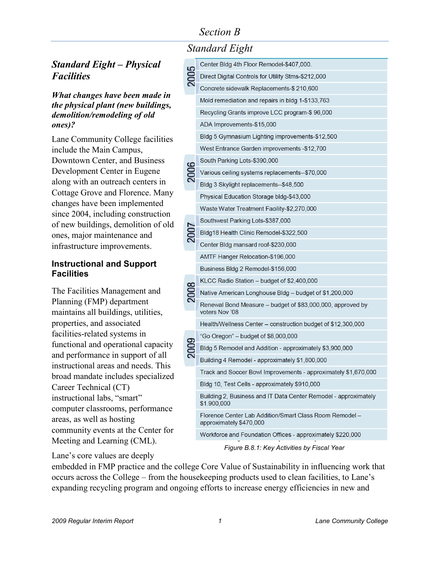# *Section B*

### *Standard Eight – Physical Facilities*

*What changes have been made in the physical plant (new buildings, demolition/remodeling of old ones)?*

Lane Community College facilities include the Main Campus, Downtown Center, and Business Development Center in Eugene along with an outreach centers in Cottage Grove and Florence. Many changes have been implemented since 2004, including construction of new buildings, demolition of old ones, major maintenance and infrastructure improvements.

#### **Instructional and Support Facilities**

The Facilities Management and Planning (FMP) department maintains all buildings, utilities, properties, and associated facilities-related systems in functional and operational capacity and performance in support of all instructional areas and needs. This broad mandate includes specialized Career Technical (CT) instructional labs, "smart" computer classrooms, performance areas, as well as hosting community events at the Center for Meeting and Learning (CML).

### Lane's core values are deeply

| Standard Eight |  |
|----------------|--|
|                |  |

|  | Center Bldg 4th Floor Remodel-\$407,000.                                           |
|--|------------------------------------------------------------------------------------|
|  | Direct Digital Controls for Utility Stms-\$212,000                                 |
|  | Concrete sidewalk Replacements-\$ 210,600                                          |
|  | Mold remediation and repairs in bldg 1-\$133,763                                   |
|  | Recycling Grants improve LCC program-\$ 96,000                                     |
|  | ADA Improvements-\$15,000                                                          |
|  | Bldg 5 Gymnasium Lighting improvements-\$12,500                                    |
|  | West Entrance Garden improvements -\$12,700                                        |
|  | South Parking Lots-\$390,000                                                       |
|  | Various ceiling systems replacements--\$70,000                                     |
|  | Bldg 3 Skylight replacements--\$48,500                                             |
|  | Physical Education Storage bldg-\$43,000                                           |
|  | Waste Water Treatment Facility-\$2,270,000                                         |
|  | Southwest Parking Lots-\$387,000                                                   |
|  | Bldg18 Health Clinic Remodel-\$322,500                                             |
|  | Center Bldg mansard roof-\$230,000                                                 |
|  | AMTF Hanger Relocation-\$196,000                                                   |
|  | Business Bldg 2 Remodel-\$156,000                                                  |
|  | KLCC Radio Station – budget of \$2,400,000                                         |
|  | Native American Longhouse Bldg – budget of \$1,200,000                             |
|  | Renewal Bond Measure – budget of \$83,000,000, approved by<br>voters Nov '08       |
|  | Health/Wellness Center – construction budget of \$12,300,000                       |
|  | "Go Oregon" – budget of \$8,000,000                                                |
|  | Bldg 5 Remodel and Addition - approximately \$3,900,000                            |
|  | Building 4 Remodel - approximately \$1,800,000                                     |
|  | Track and Soccer Bowl Improvements - approximately \$1,670,000                     |
|  | Bldg 10, Test Cells - approximately \$910,000                                      |
|  | Building 2, Business and IT Data Center Remodel - approximately<br>\$1.900,000     |
|  | Florence Center Lab Addition/Smart Class Room Remodel -<br>approximately \$470,000 |
|  | Workforce and Foundation Offices - approximately \$220,000                         |
|  | $\Gamma$ iouro $D, 0, 4$ ; Kau Astivitias bu Finaal Var                            |

*Figure B.8.1: Key Activities by Fiscal Year*

embedded in FMP practice and the college Core Value of Sustainability in influencing work that occurs across the College – from the housekeeping products used to clean facilities, to Lane's expanding recycling program and ongoing efforts to increase energy efficiencies in new and